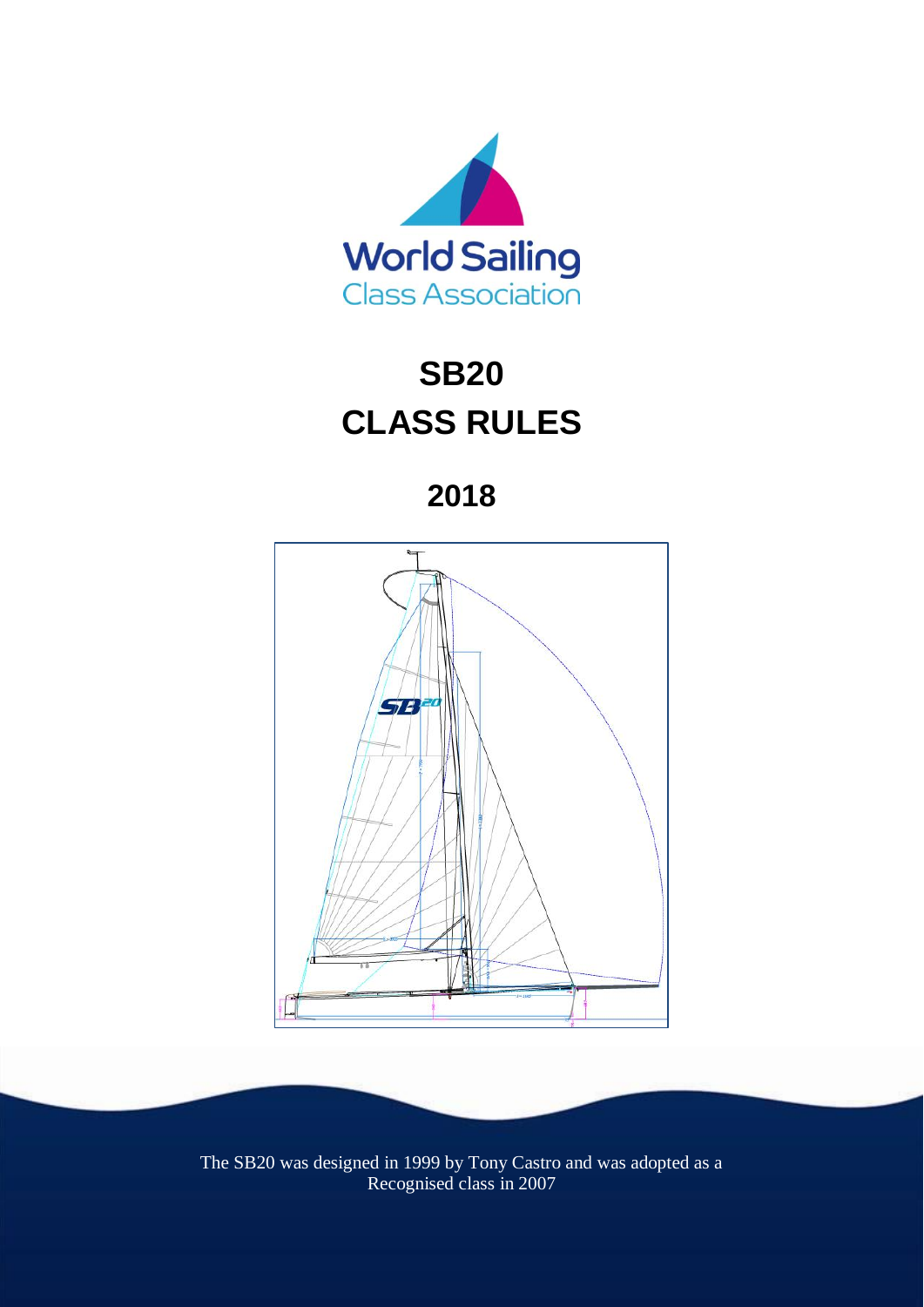

# **SB20 CLASS RULES**

**2018**



The SB20 was designed in 1999 by Tony Castro and was adopted as a Recognised class in 2007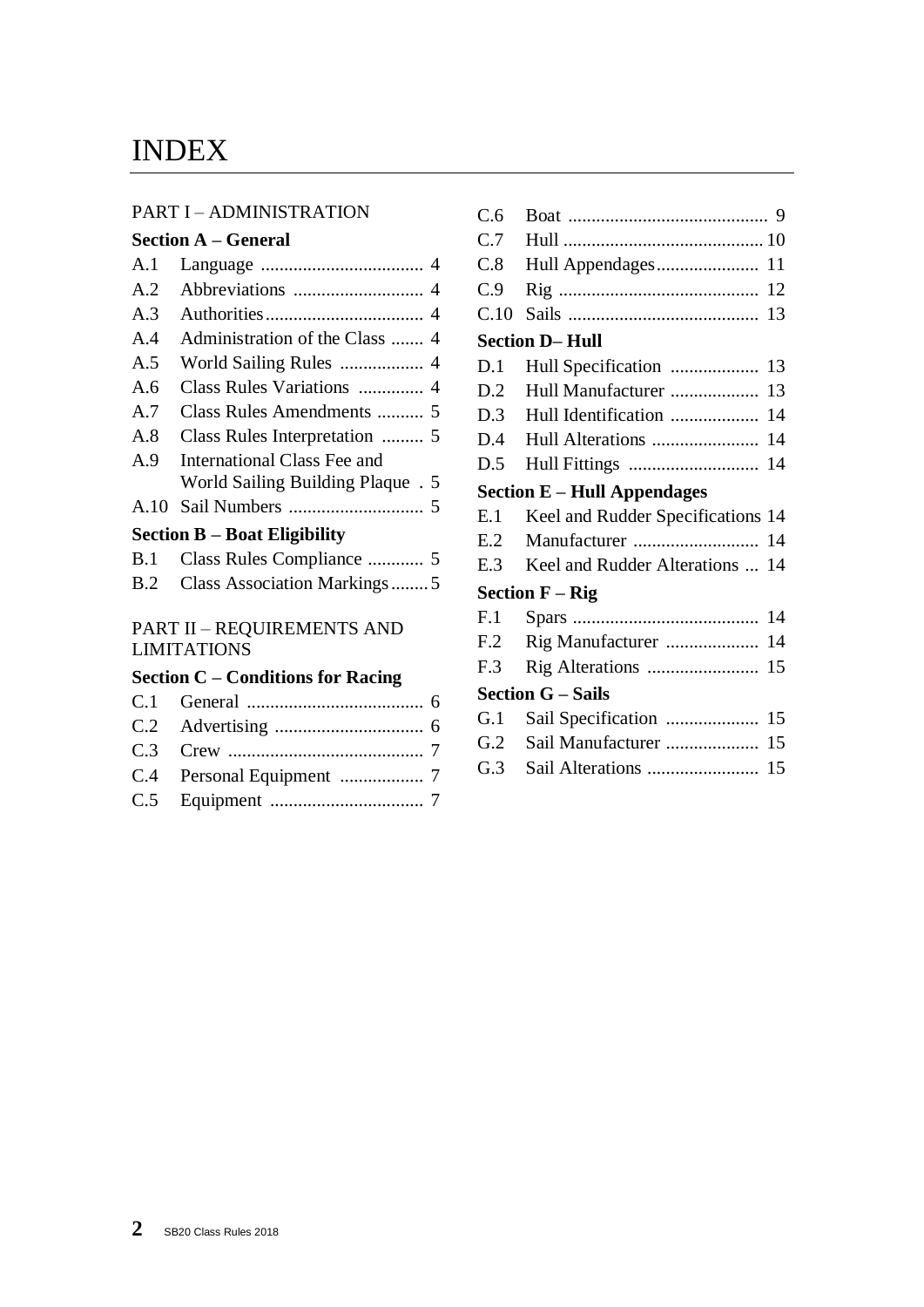# INDEX

#### PART I – ADMINISTRATION

#### **Section A – General**

| A.1  |                                   |  |
|------|-----------------------------------|--|
| A.2  |                                   |  |
| A.3  |                                   |  |
| A.4  |                                   |  |
| A.5  |                                   |  |
| A.6  | Class Rules Variations  4         |  |
| A.7  |                                   |  |
| A.8  | Class Rules Interpretation  5     |  |
| A.9  | International Class Fee and       |  |
|      | World Sailing Building Plaque . 5 |  |
| A.10 |                                   |  |
|      |                                   |  |

#### **Section B – Boat Eligibility**

| B.2 Class Association Markings5 |
|---------------------------------|

#### PART II – REQUIREMENTS AND LIMITATIONS

## **Section C – Conditions for Racing**

| C.6  |                                     |  |
|------|-------------------------------------|--|
| C.7  |                                     |  |
| C.8  | Hull Appendages 11                  |  |
| C.9  |                                     |  |
| C.10 |                                     |  |
|      | <b>Section D-Hull</b>               |  |
| D.1  |                                     |  |
| D.2  | Hull Manufacturer  13               |  |
| D.3  | Hull Identification  14             |  |
| D.4  |                                     |  |
| D.5  |                                     |  |
|      | <b>Section E – Hull Appendages</b>  |  |
| E.1  | Keel and Rudder Specifications 14   |  |
| E.2  | Manufacturer  14                    |  |
| E.3  | Keel and Rudder Alterations  14     |  |
|      | <b>Section <math>F - Rig</math></b> |  |
| F.1  |                                     |  |
| F.2  | Rig Manufacturer  14                |  |
| F.3  | Rig Alterations  15                 |  |
|      | <b>Section G – Sails</b>            |  |
| G.1  |                                     |  |
| G.2  | Sail Manufacturer  15               |  |
| G.3  |                                     |  |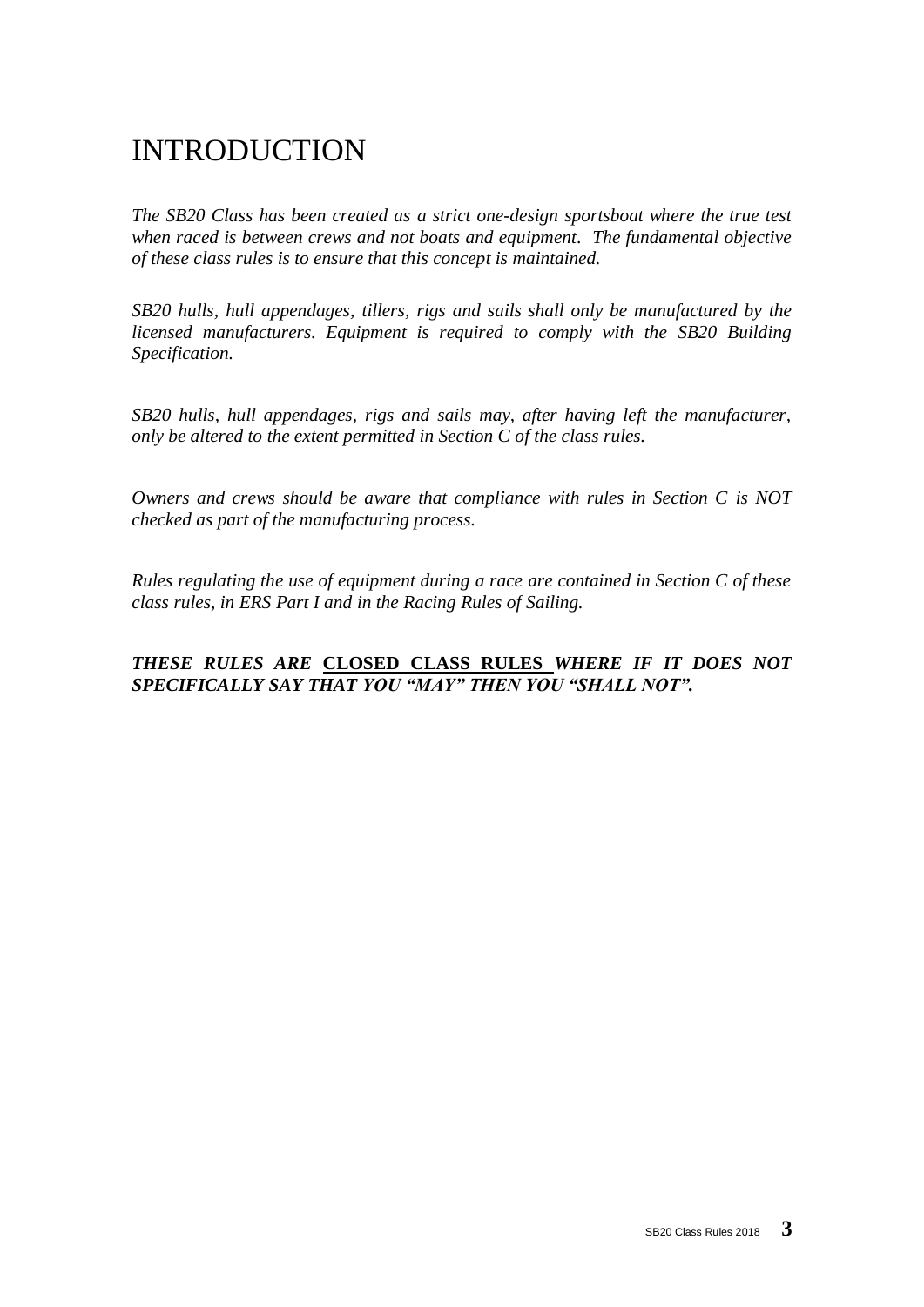# INTRODUCTION

*The SB20 Class has been created as a strict one-design sportsboat where the true test when raced is between crews and not boats and equipment. The fundamental objective of these class rules is to ensure that this concept is maintained.* 

*SB20 hulls, hull appendages, tillers, rigs and sails shall only be manufactured by the licensed manufacturers. Equipment is required to comply with the SB20 Building Specification.*

*SB20 hulls, hull appendages, rigs and sails may, after having left the manufacturer, only be altered to the extent permitted in Section C of the class rules.*

*Owners and crews should be aware that compliance with rules in Section C is NOT checked as part of the manufacturing process.*

*Rules regulating the use of equipment during a race are contained in Section C of these class rules, in ERS Part I and in the Racing Rules of Sailing.*

#### *THESE RULES ARE* **CLOSED CLASS RULES** *WHERE IF IT DOES NOT SPECIFICALLY SAY THAT YOU "MAY" THEN YOU "SHALL NOT".*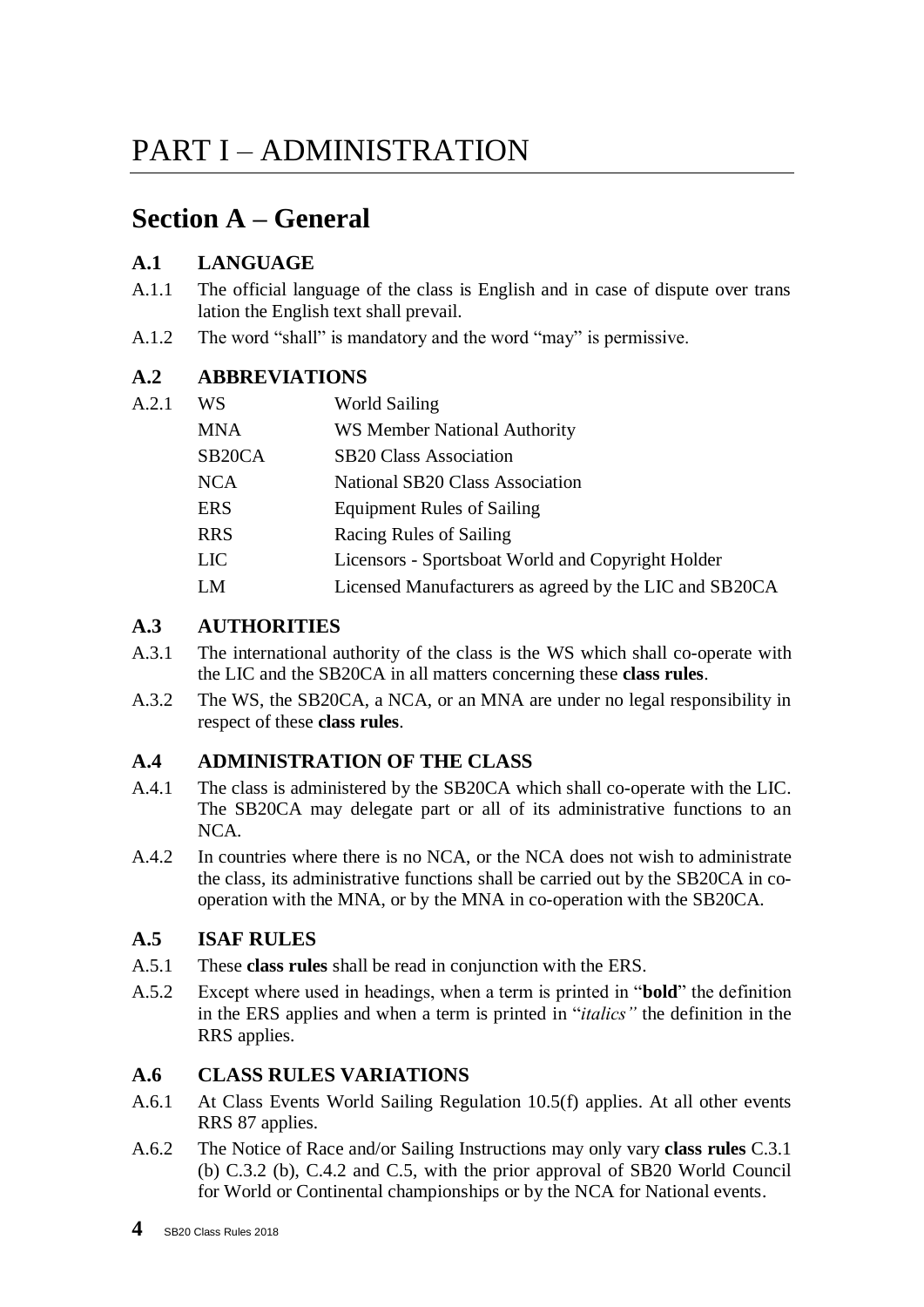# PART I – ADMINISTRATION

# **Section A – General**

## **A.1 LANGUAGE**

 $A.2.1$ 

- A.1.1 The official language of the class is English and in case of dispute over trans lation the English text shall prevail.
- A.1.2 The word "shall" is mandatory and the word "may" is permissive.

## **A.2 ABBREVIATIONS**

| WS                  | <b>World Sailing</b>                                   |
|---------------------|--------------------------------------------------------|
| <b>MNA</b>          | <b>WS Member National Authority</b>                    |
| SB <sub>20</sub> CA | <b>SB20 Class Association</b>                          |
| <b>NCA</b>          | National SB20 Class Association                        |
| <b>ERS</b>          | <b>Equipment Rules of Sailing</b>                      |
| <b>RRS</b>          | Racing Rules of Sailing                                |
| <b>LIC</b>          | Licensors - Sportsboat World and Copyright Holder      |
| LM                  | Licensed Manufacturers as agreed by the LIC and SB20CA |

## **A.3 AUTHORITIES**

- A.3.1 The international authority of the class is the WS which shall co-operate with the LIC and the SB20CA in all matters concerning these **class rules**.
- A.3.2 The WS, the SB20CA, a NCA, or an MNA are under no legal responsibility in respect of these **class rules**.

## **A.4 ADMINISTRATION OF THE CLASS**

- A.4.1 The class is administered by the SB20CA which shall co-operate with the LIC. The SB20CA may delegate part or all of its administrative functions to an NCA.
- A.4.2 In countries where there is no NCA, or the NCA does not wish to administrate the class, its administrative functions shall be carried out by the SB20CA in cooperation with the MNA, or by the MNA in co-operation with the SB20CA.

## **A.5 ISAF RULES**

- A.5.1 These **class rules** shall be read in conjunction with the ERS.
- A.5.2 Except where used in headings, when a term is printed in "**bold**" the definition in the ERS applies and when a term is printed in "*italics"* the definition in the RRS applies.

## **A.6 CLASS RULES VARIATIONS**

- A.6.1 At Class Events World Sailing Regulation 10.5(f) applies. At all other events RRS 87 applies.
- A.6.2 The Notice of Race and/or Sailing Instructions may only vary **class rules** C.3.1 (b) C.3.2 (b), C.4.2 and C.5, with the prior approval of SB20 World Council for World or Continental championships or by the NCA for National events.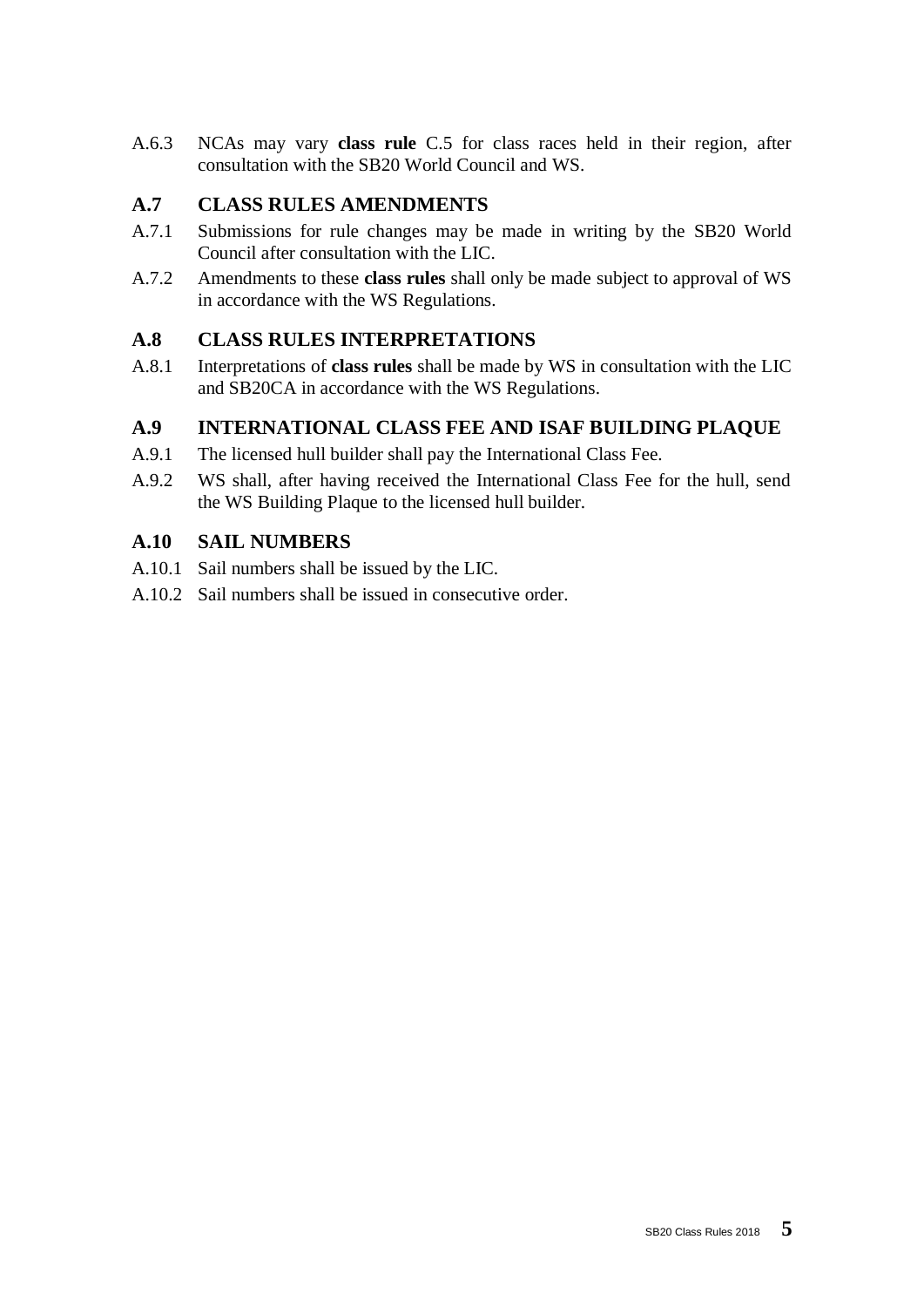A.6.3 NCAs may vary **class rule** C.5 for class races held in their region, after consultation with the SB20 World Council and WS.

## **A.7 CLASS RULES AMENDMENTS**

- A.7.1 Submissions for rule changes may be made in writing by the SB20 World Council after consultation with the LIC.
- A.7.2 Amendments to these **class rules** shall only be made subject to approval of WS in accordance with the WS Regulations.

## **A.8 CLASS RULES INTERPRETATIONS**

A.8.1 Interpretations of **class rules** shall be made by WS in consultation with the LIC and SB20CA in accordance with the WS Regulations.

## **A.9 INTERNATIONAL CLASS FEE AND ISAF BUILDING PLAQUE**

- A.9.1 The licensed hull builder shall pay the International Class Fee.
- A.9.2 WS shall, after having received the International Class Fee for the hull, send the WS Building Plaque to the licensed hull builder.

## **A.10 SAIL NUMBERS**

- A.10.1 Sail numbers shall be issued by the LIC.
- A.10.2 Sail numbers shall be issued in consecutive order.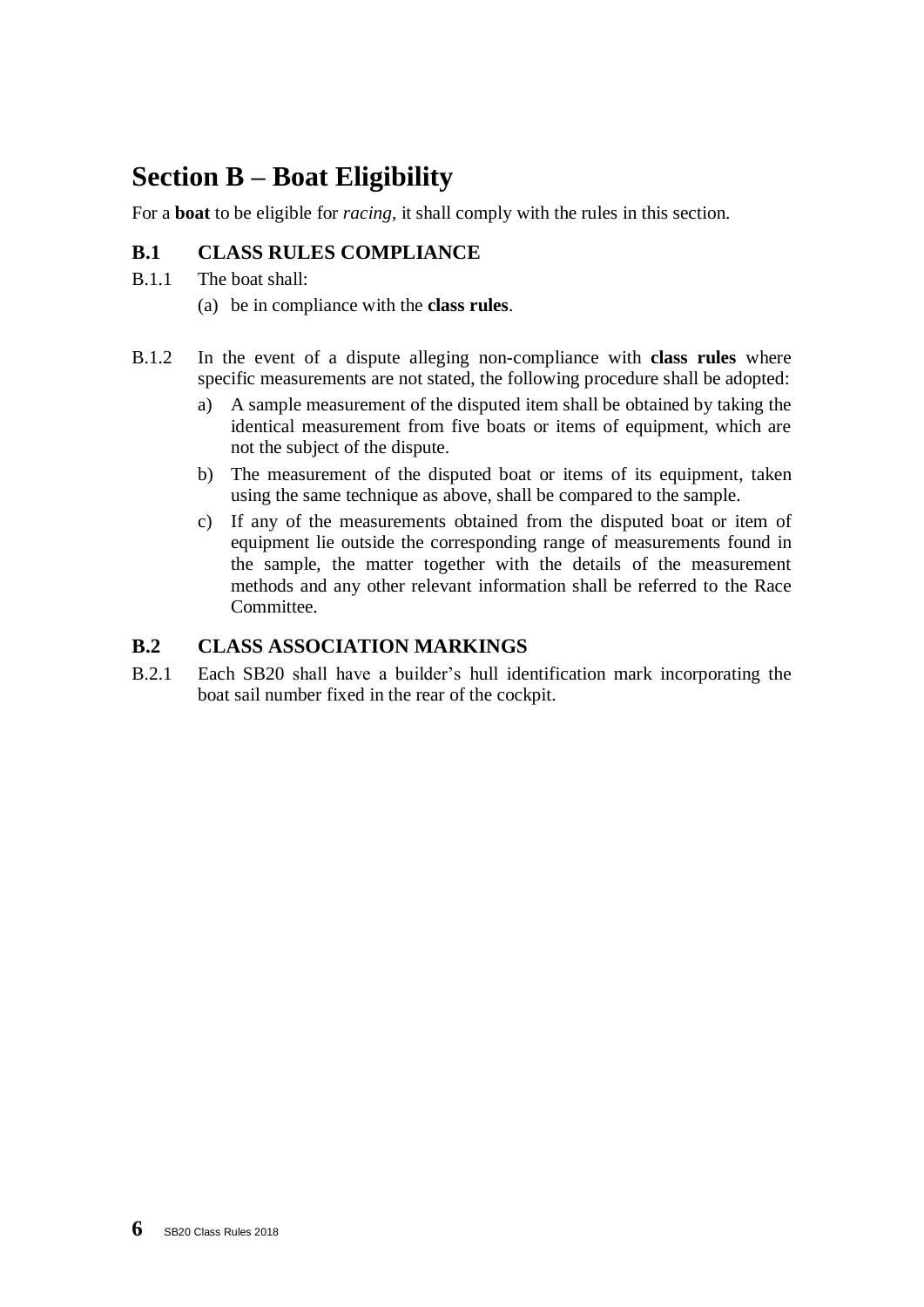# **Section B – Boat Eligibility**

For a **boat** to be eligible for *racing*, it shall comply with the rules in this section.

## **B.1 CLASS RULES COMPLIANCE**

- B.1.1 The boat shall:
	- (a) be in compliance with the **class rules**.
- B.1.2 In the event of a dispute alleging non-compliance with **class rules** where specific measurements are not stated, the following procedure shall be adopted:
	- a) A sample measurement of the disputed item shall be obtained by taking the identical measurement from five boats or items of equipment, which are not the subject of the dispute.
	- b) The measurement of the disputed boat or items of its equipment, taken using the same technique as above, shall be compared to the sample.
	- c) If any of the measurements obtained from the disputed boat or item of equipment lie outside the corresponding range of measurements found in the sample, the matter together with the details of the measurement methods and any other relevant information shall be referred to the Race Committee.

## **B.2 CLASS ASSOCIATION MARKINGS**

B.2.1 Each SB20 shall have a builder's hull identification mark incorporating the boat sail number fixed in the rear of the cockpit.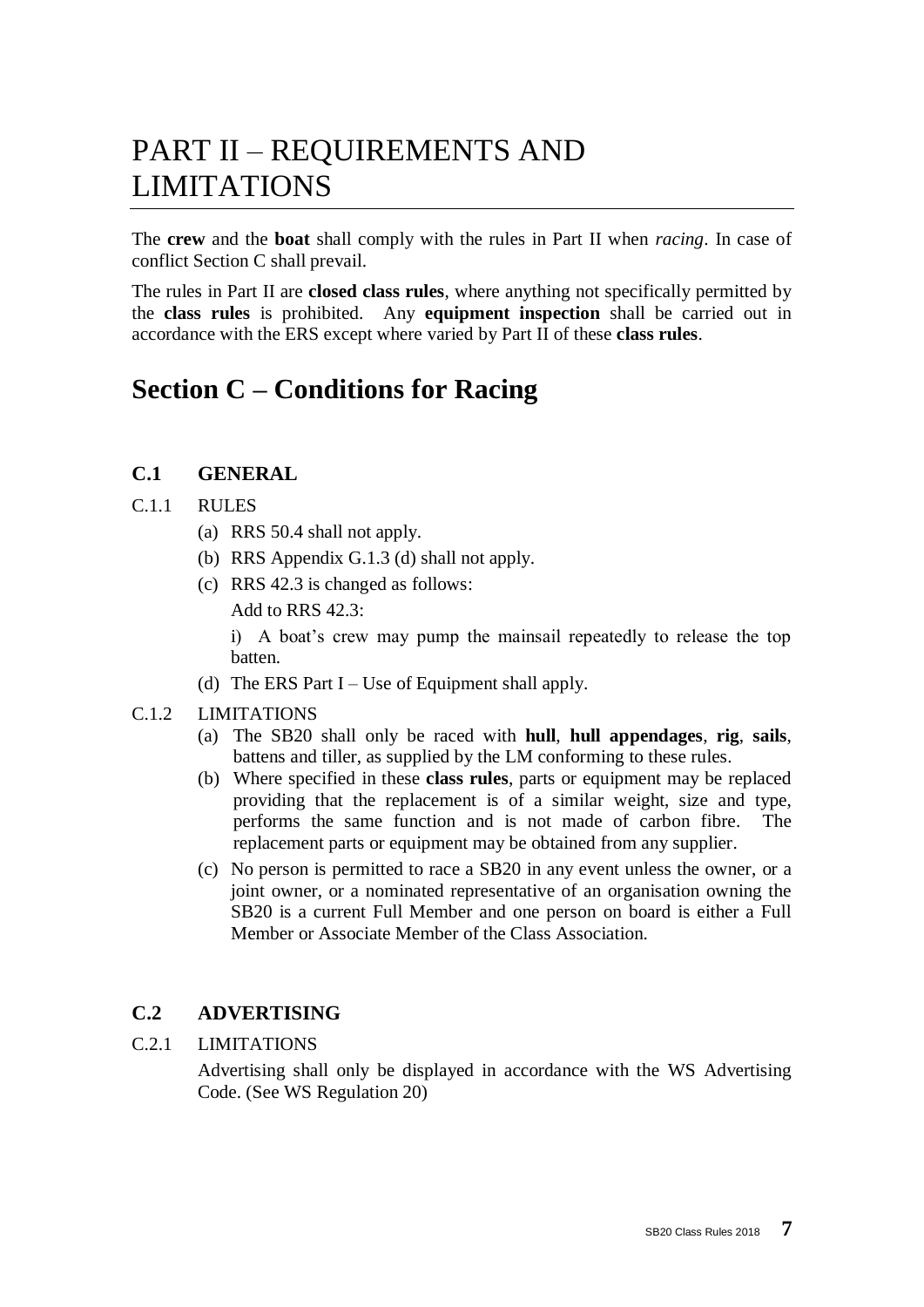# PART II – REQUIREMENTS AND LIMITATIONS

The **crew** and the **boat** shall comply with the rules in Part II when *racing*. In case of conflict Section C shall prevail.

The rules in Part II are **closed class rules**, where anything not specifically permitted by the **class rules** is prohibited. Any **equipment inspection** shall be carried out in accordance with the ERS except where varied by Part II of these **class rules**.

## **Section C – Conditions for Racing**

## **C.1 GENERAL**

#### C.1.1 RULES

- (a) RRS 50.4 shall not apply.
- (b) RRS Appendix G.1.3 (d) shall not apply.
- (c) RRS 42.3 is changed as follows:

Add to RRS 42.3:

i) A boat's crew may pump the mainsail repeatedly to release the top batten.

(d) The ERS Part  $I - Use$  of Equipment shall apply.

#### C.1.2 LIMITATIONS

- (a) The SB20 shall only be raced with **hull**, **hull appendages**, **rig**, **sails**, battens and tiller, as supplied by the LM conforming to these rules.
- (b) Where specified in these **class rules**, parts or equipment may be replaced providing that the replacement is of a similar weight, size and type, performs the same function and is not made of carbon fibre. The replacement parts or equipment may be obtained from any supplier.
- (c) No person is permitted to race a SB20 in any event unless the owner, or a joint owner, or a nominated representative of an organisation owning the SB20 is a current Full Member and one person on board is either a Full Member or Associate Member of the Class Association.

## **C.2 ADVERTISING**

C.2.1 LIMITATIONS

Advertising shall only be displayed in accordance with the WS Advertising Code. (See WS Regulation 20)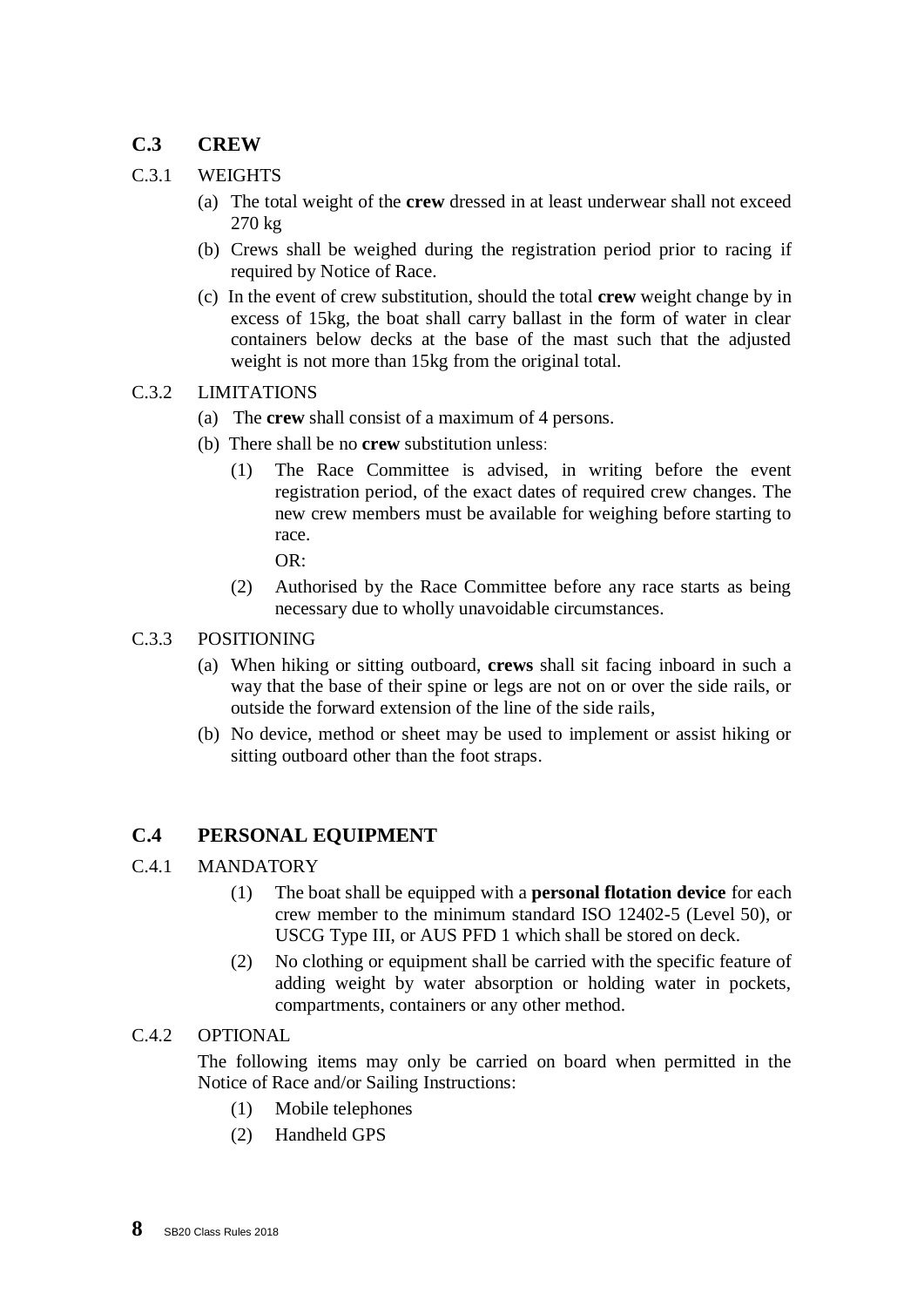## **C.3 CREW**

#### C.3.1 WEIGHTS

- (a) The total weight of the **crew** dressed in at least underwear shall not exceed 270 kg
- (b) Crews shall be weighed during the registration period prior to racing if required by Notice of Race.
- (c) In the event of crew substitution, should the total **crew** weight change by in excess of 15kg, the boat shall carry ballast in the form of water in clear containers below decks at the base of the mast such that the adjusted weight is not more than 15kg from the original total.

#### C.3.2 LIMITATIONS

- (a) The **crew** shall consist of a maximum of 4 persons.
- (b) There shall be no **crew** substitution unless:
	- (1) The Race Committee is advised, in writing before the event registration period, of the exact dates of required crew changes. The new crew members must be available for weighing before starting to race.

OR:

(2) Authorised by the Race Committee before any race starts as being necessary due to wholly unavoidable circumstances.

#### C.3.3 POSITIONING

- (a) When hiking or sitting outboard, **crews** shall sit facing inboard in such a way that the base of their spine or legs are not on or over the side rails, or outside the forward extension of the line of the side rails,
- (b) No device, method or sheet may be used to implement or assist hiking or sitting outboard other than the foot straps.

## **C.4 PERSONAL EQUIPMENT**

#### C.4.1 MANDATORY

- (1) The boat shall be equipped with a **personal flotation device** for each crew member to the minimum standard ISO 12402-5 (Level 50), or USCG Type III, or AUS PFD 1 which shall be stored on deck.
- (2) No clothing or equipment shall be carried with the specific feature of adding weight by water absorption or holding water in pockets, compartments, containers or any other method.

#### C.4.2 OPTIONAL

The following items may only be carried on board when permitted in the Notice of Race and/or Sailing Instructions:

- (1) Mobile telephones
- (2) Handheld GPS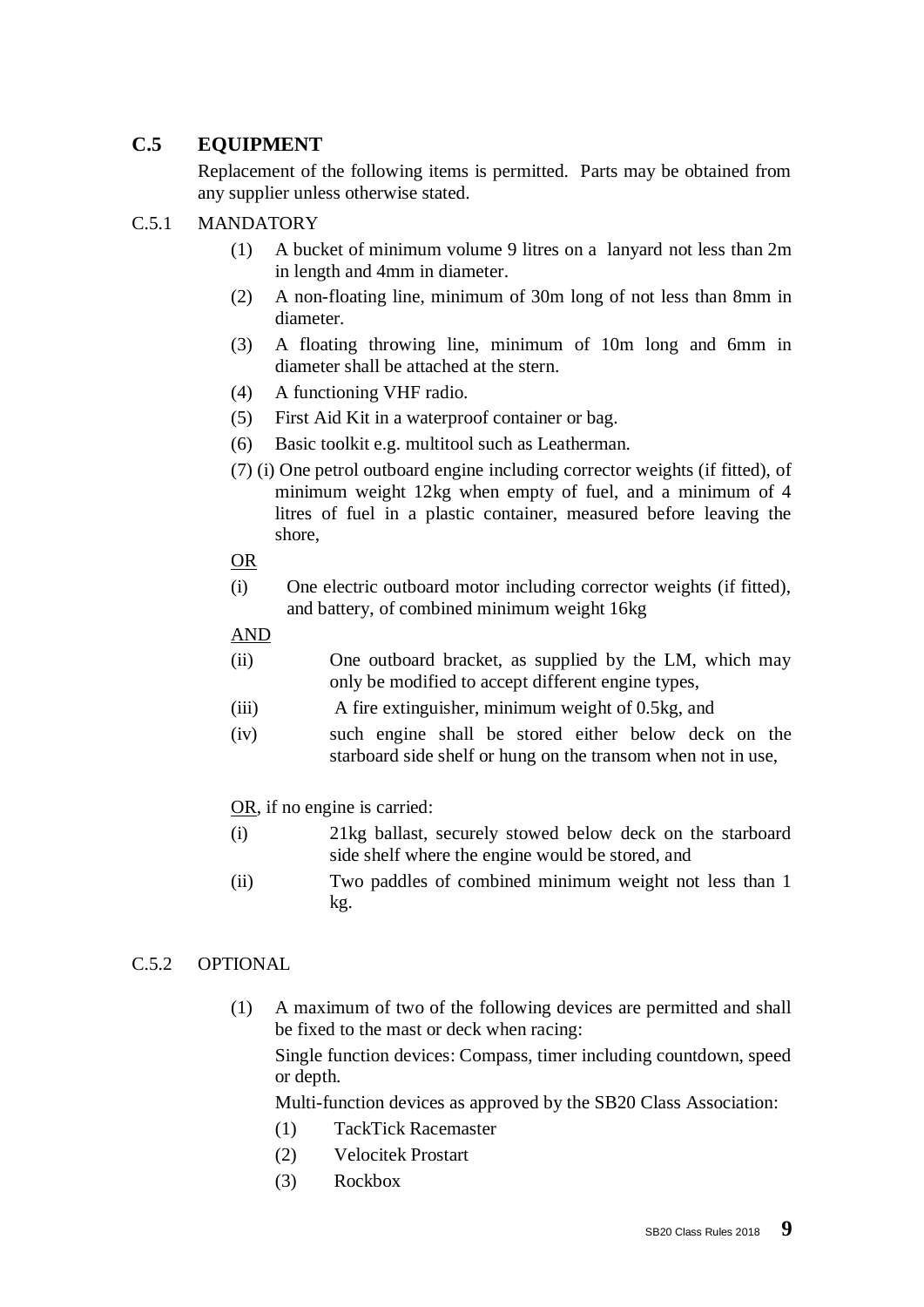## **C.5 EQUIPMENT**

Replacement of the following items is permitted. Parts may be obtained from any supplier unless otherwise stated.

#### C.5.1 MANDATORY

- (1) A bucket of minimum volume 9 litres on a lanyard not less than 2m in length and 4mm in diameter.
- (2) A non-floating line, minimum of 30m long of not less than 8mm in diameter.
- (3) A floating throwing line, minimum of 10m long and 6mm in diameter shall be attached at the stern.
- (4) A functioning VHF radio.
- (5) First Aid Kit in a waterproof container or bag.
- (6) Basic toolkit e.g. multitool such as Leatherman.
- (7) (i) One petrol outboard engine including corrector weights (if fitted), of minimum weight 12kg when empty of fuel, and a minimum of 4 litres of fuel in a plastic container, measured before leaving the shore,

#### OR

(i) One electric outboard motor including corrector weights (if fitted), and battery, of combined minimum weight 16kg

### AND

- (ii) One outboard bracket, as supplied by the LM, which may only be modified to accept different engine types,
- (iii) A fire extinguisher, minimum weight of 0.5kg, and
- (iv) such engine shall be stored either below deck on the starboard side shelf or hung on the transom when not in use,

## OR, if no engine is carried:

- (i) 21kg ballast, securely stowed below deck on the starboard side shelf where the engine would be stored, and
- (ii) Two paddles of combined minimum weight not less than 1 kg.

## C.5.2 OPTIONAL

- (1) A maximum of two of the following devices are permitted and shall be fixed to the mast or deck when racing: Single function devices: Compass, timer including countdown, speed or depth. Multi-function devices as approved by the SB20 Class Association:
	- (1) TackTick Racemaster
	- (2) Velocitek Prostart
	- (3) Rockbox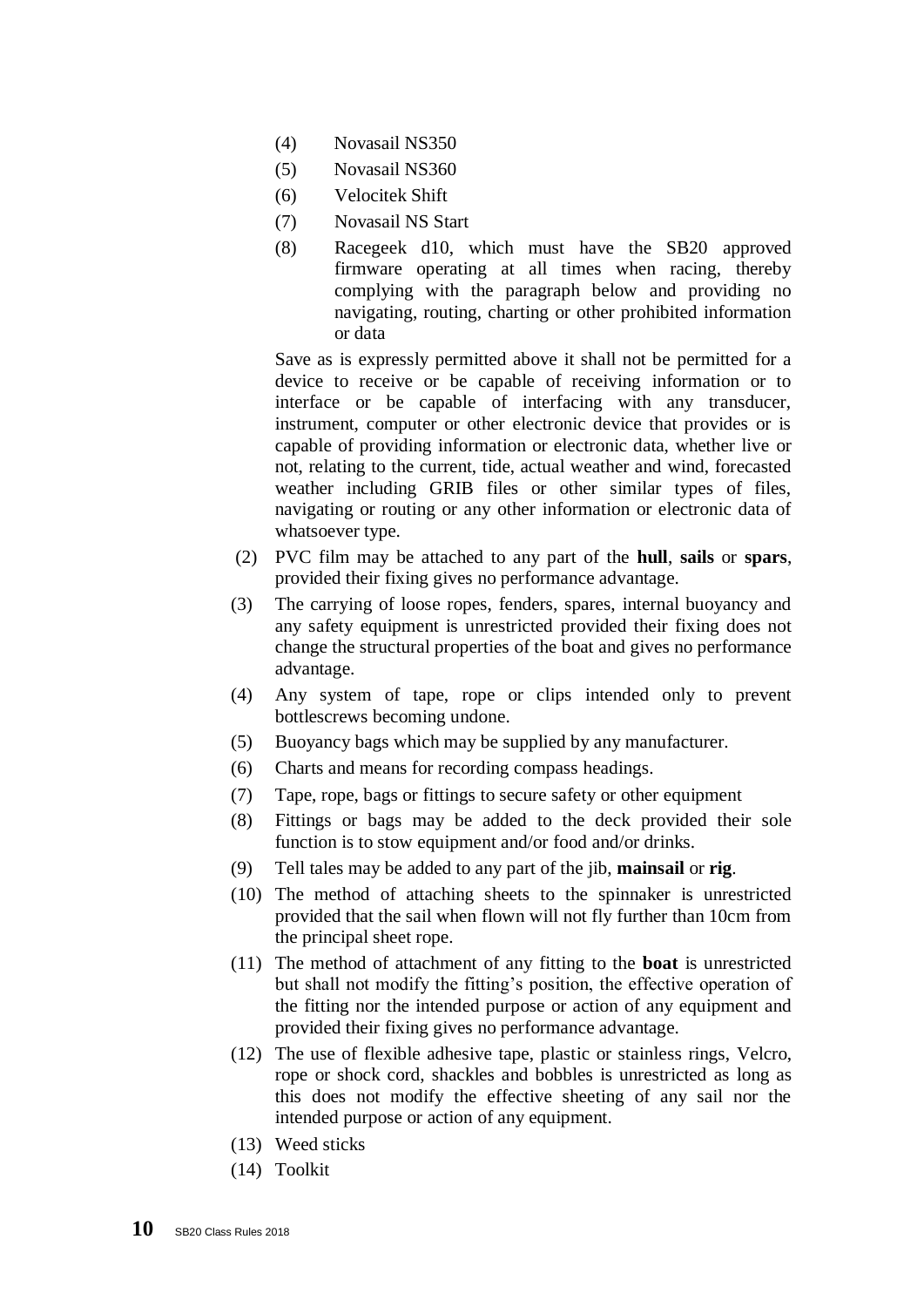- (4) Novasail NS350
- (5) Novasail NS360
- (6) Velocitek Shift
- (7) Novasail NS Start
- (8) Racegeek d10, which must have the SB20 approved firmware operating at all times when racing, thereby complying with the paragraph below and providing no navigating, routing, charting or other prohibited information or data

Save as is expressly permitted above it shall not be permitted for a device to receive or be capable of receiving information or to interface or be capable of interfacing with any transducer, instrument, computer or other electronic device that provides or is capable of providing information or electronic data, whether live or not, relating to the current, tide, actual weather and wind, forecasted weather including GRIB files or other similar types of files, navigating or routing or any other information or electronic data of whatsoever type.

- (2) PVC film may be attached to any part of the **hull**, **sails** or **spars**, provided their fixing gives no performance advantage.
- (3) The carrying of loose ropes, fenders, spares, internal buoyancy and any safety equipment is unrestricted provided their fixing does not change the structural properties of the boat and gives no performance advantage.
- (4) Any system of tape, rope or clips intended only to prevent bottlescrews becoming undone.
- (5) Buoyancy bags which may be supplied by any manufacturer.
- (6) Charts and means for recording compass headings.
- (7) Tape, rope, bags or fittings to secure safety or other equipment
- (8) Fittings or bags may be added to the deck provided their sole function is to stow equipment and/or food and/or drinks.
- (9) Tell tales may be added to any part of the jib, **mainsail** or **rig**.
- (10) The method of attaching sheets to the spinnaker is unrestricted provided that the sail when flown will not fly further than 10cm from the principal sheet rope.
- (11) The method of attachment of any fitting to the **boat** is unrestricted but shall not modify the fitting's position, the effective operation of the fitting nor the intended purpose or action of any equipment and provided their fixing gives no performance advantage.
- (12) The use of flexible adhesive tape, plastic or stainless rings, Velcro, rope or shock cord, shackles and bobbles is unrestricted as long as this does not modify the effective sheeting of any sail nor the intended purpose or action of any equipment.
- (13) Weed sticks
- (14) Toolkit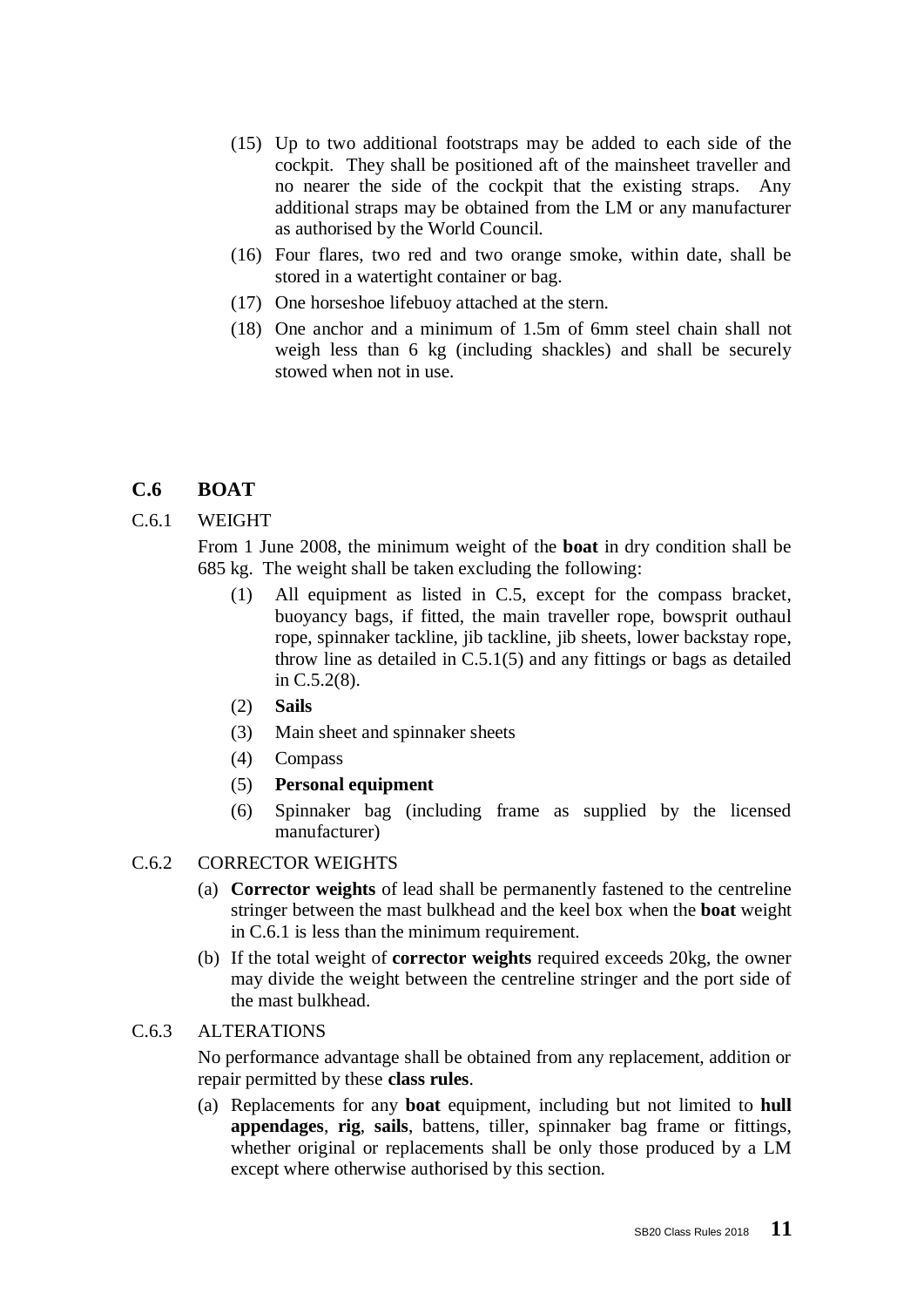- (15) Up to two additional footstraps may be added to each side of the cockpit. They shall be positioned aft of the mainsheet traveller and no nearer the side of the cockpit that the existing straps. Any additional straps may be obtained from the LM or any manufacturer as authorised by the World Council.
- (16) Four flares, two red and two orange smoke, within date, shall be stored in a watertight container or bag.
- (17) One horseshoe lifebuoy attached at the stern.
- (18) One anchor and a minimum of 1.5m of 6mm steel chain shall not weigh less than 6 kg (including shackles) and shall be securely stowed when not in use.

#### **C.6 BOAT**

#### C.6.1 WEIGHT

From 1 June 2008, the minimum weight of the **boat** in dry condition shall be 685 kg. The weight shall be taken excluding the following:

- (1) All equipment as listed in C.5, except for the compass bracket, buoyancy bags, if fitted, the main traveller rope, bowsprit outhaul rope, spinnaker tackline, jib tackline, jib sheets, lower backstay rope, throw line as detailed in C.5.1(5) and any fittings or bags as detailed in C.5.2(8).
- (2) **Sails**
- (3) Main sheet and spinnaker sheets
- (4) Compass
- (5) **Personal equipment**
- (6) Spinnaker bag (including frame as supplied by the licensed manufacturer)

#### C.6.2 CORRECTOR WEIGHTS

- (a) **Corrector weights** of lead shall be permanently fastened to the centreline stringer between the mast bulkhead and the keel box when the **boat** weight in C.6.1 is less than the minimum requirement.
- (b) If the total weight of **corrector weights** required exceeds 20kg, the owner may divide the weight between the centreline stringer and the port side of the mast bulkhead.

#### C.6.3 ALTERATIONS

No performance advantage shall be obtained from any replacement, addition or repair permitted by these **class rules**.

(a) Replacements for any **boat** equipment, including but not limited to **hull appendages**, **rig**, **sails**, battens, tiller, spinnaker bag frame or fittings, whether original or replacements shall be only those produced by a LM except where otherwise authorised by this section.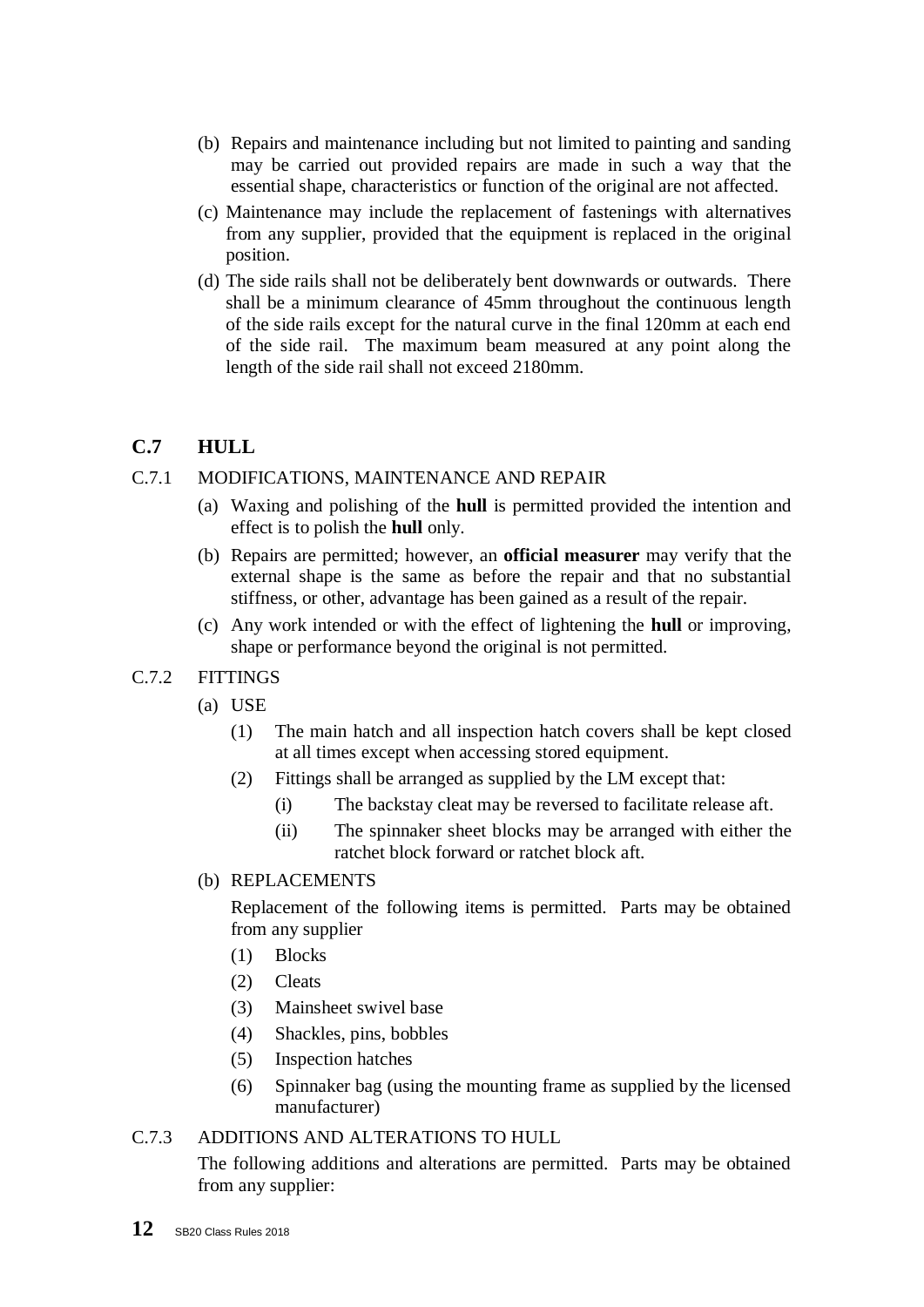- (b) Repairs and maintenance including but not limited to painting and sanding may be carried out provided repairs are made in such a way that the essential shape, characteristics or function of the original are not affected.
- (c) Maintenance may include the replacement of fastenings with alternatives from any supplier, provided that the equipment is replaced in the original position.
- (d) The side rails shall not be deliberately bent downwards or outwards. There shall be a minimum clearance of 45mm throughout the continuous length of the side rails except for the natural curve in the final 120mm at each end of the side rail. The maximum beam measured at any point along the length of the side rail shall not exceed 2180mm.

## **C.7 HULL**

#### C.7.1 MODIFICATIONS, MAINTENANCE AND REPAIR

- (a) Waxing and polishing of the **hull** is permitted provided the intention and effect is to polish the **hull** only.
- (b) Repairs are permitted; however, an **official measurer** may verify that the external shape is the same as before the repair and that no substantial stiffness, or other, advantage has been gained as a result of the repair.
- (c) Any work intended or with the effect of lightening the **hull** or improving, shape or performance beyond the original is not permitted.
- C.7.2 FITTINGS
	- (a) USE
		- (1) The main hatch and all inspection hatch covers shall be kept closed at all times except when accessing stored equipment.
		- (2) Fittings shall be arranged as supplied by the LM except that:
			- (i) The backstay cleat may be reversed to facilitate release aft.
			- (ii) The spinnaker sheet blocks may be arranged with either the ratchet block forward or ratchet block aft.
	- (b) REPLACEMENTS

Replacement of the following items is permitted. Parts may be obtained from any supplier

- (1) Blocks
- (2) Cleats
- (3) Mainsheet swivel base
- (4) Shackles, pins, bobbles
- (5) Inspection hatches
- (6) Spinnaker bag (using the mounting frame as supplied by the licensed manufacturer)

#### C.7.3 ADDITIONS AND ALTERATIONS TO HULL

The following additions and alterations are permitted. Parts may be obtained from any supplier: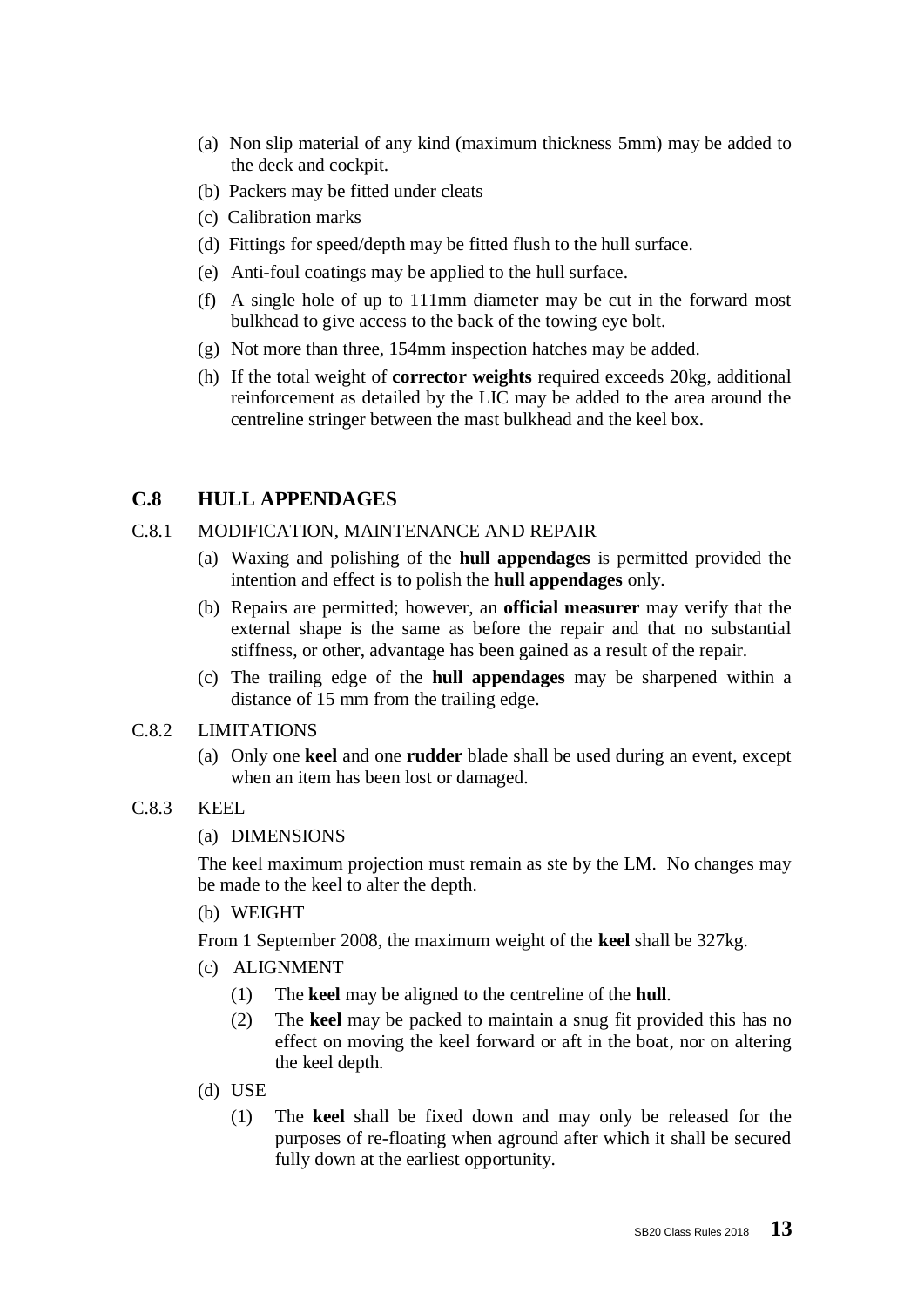- (a) Non slip material of any kind (maximum thickness 5mm) may be added to the deck and cockpit.
- (b) Packers may be fitted under cleats
- (c) Calibration marks
- (d) Fittings for speed/depth may be fitted flush to the hull surface.
- (e) Anti-foul coatings may be applied to the hull surface.
- (f) A single hole of up to 111mm diameter may be cut in the forward most bulkhead to give access to the back of the towing eye bolt.
- (g) Not more than three, 154mm inspection hatches may be added.
- (h) If the total weight of **corrector weights** required exceeds 20kg, additional reinforcement as detailed by the LIC may be added to the area around the centreline stringer between the mast bulkhead and the keel box.

## **C.8 HULL APPENDAGES**

#### C.8.1 MODIFICATION, MAINTENANCE AND REPAIR

- (a) Waxing and polishing of the **hull appendages** is permitted provided the intention and effect is to polish the **hull appendages** only.
- (b) Repairs are permitted; however, an **official measurer** may verify that the external shape is the same as before the repair and that no substantial stiffness, or other, advantage has been gained as a result of the repair.
- (c) The trailing edge of the **hull appendages** may be sharpened within a distance of 15 mm from the trailing edge.

#### C.8.2 LIMITATIONS

(a) Only one **keel** and one **rudder** blade shall be used during an event, except when an item has been lost or damaged.

#### C.8.3 KEEL

#### (a) DIMENSIONS

The keel maximum projection must remain as ste by the LM. No changes may be made to the keel to alter the depth.

(b) WEIGHT

From 1 September 2008, the maximum weight of the **keel** shall be 327kg.

- (c) ALIGNMENT
	- (1) The **keel** may be aligned to the centreline of the **hull**.
	- (2) The **keel** may be packed to maintain a snug fit provided this has no effect on moving the keel forward or aft in the boat, nor on altering the keel depth.
- (d) USE
	- (1) The **keel** shall be fixed down and may only be released for the purposes of re-floating when aground after which it shall be secured fully down at the earliest opportunity.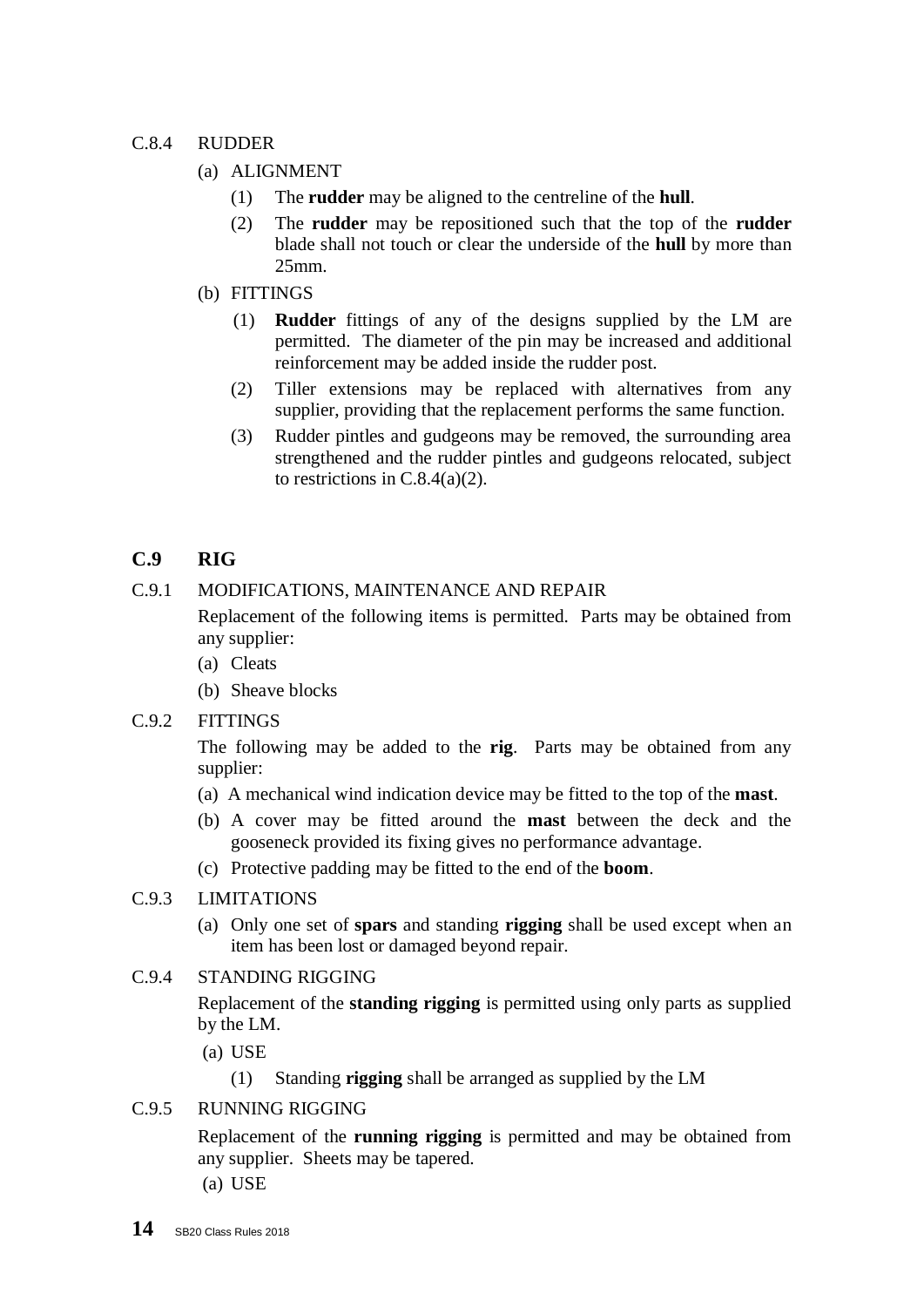#### C.8.4 RUDDER

- (a) ALIGNMENT
	- (1) The **rudder** may be aligned to the centreline of the **hull**.
	- (2) The **rudder** may be repositioned such that the top of the **rudder** blade shall not touch or clear the underside of the **hull** by more than 25mm.
- (b) FITTINGS
	- (1) **Rudder** fittings of any of the designs supplied by the LM are permitted. The diameter of the pin may be increased and additional reinforcement may be added inside the rudder post.
	- (2) Tiller extensions may be replaced with alternatives from any supplier, providing that the replacement performs the same function.
	- (3) Rudder pintles and gudgeons may be removed, the surrounding area strengthened and the rudder pintles and gudgeons relocated, subject to restrictions in C.8.4(a)(2).

## **C.9 RIG**

#### C.9.1 MODIFICATIONS, MAINTENANCE AND REPAIR

Replacement of the following items is permitted. Parts may be obtained from any supplier:

- (a) Cleats
- (b) Sheave blocks

#### C.9.2 FITTINGS

The following may be added to the **rig**. Parts may be obtained from any supplier:

- (a) A mechanical wind indication device may be fitted to the top of the **mast**.
- (b) A cover may be fitted around the **mast** between the deck and the gooseneck provided its fixing gives no performance advantage.
- (c) Protective padding may be fitted to the end of the **boom**.

#### C.9.3 LIMITATIONS

(a) Only one set of **spars** and standing **rigging** shall be used except when an item has been lost or damaged beyond repair.

#### C.9.4 STANDING RIGGING

Replacement of the **standing rigging** is permitted using only parts as supplied by the LM.

- (a) USE
	- (1) Standing **rigging** shall be arranged as supplied by the LM

#### C.9.5 RUNNING RIGGING

Replacement of the **running rigging** is permitted and may be obtained from any supplier. Sheets may be tapered.

(a) USE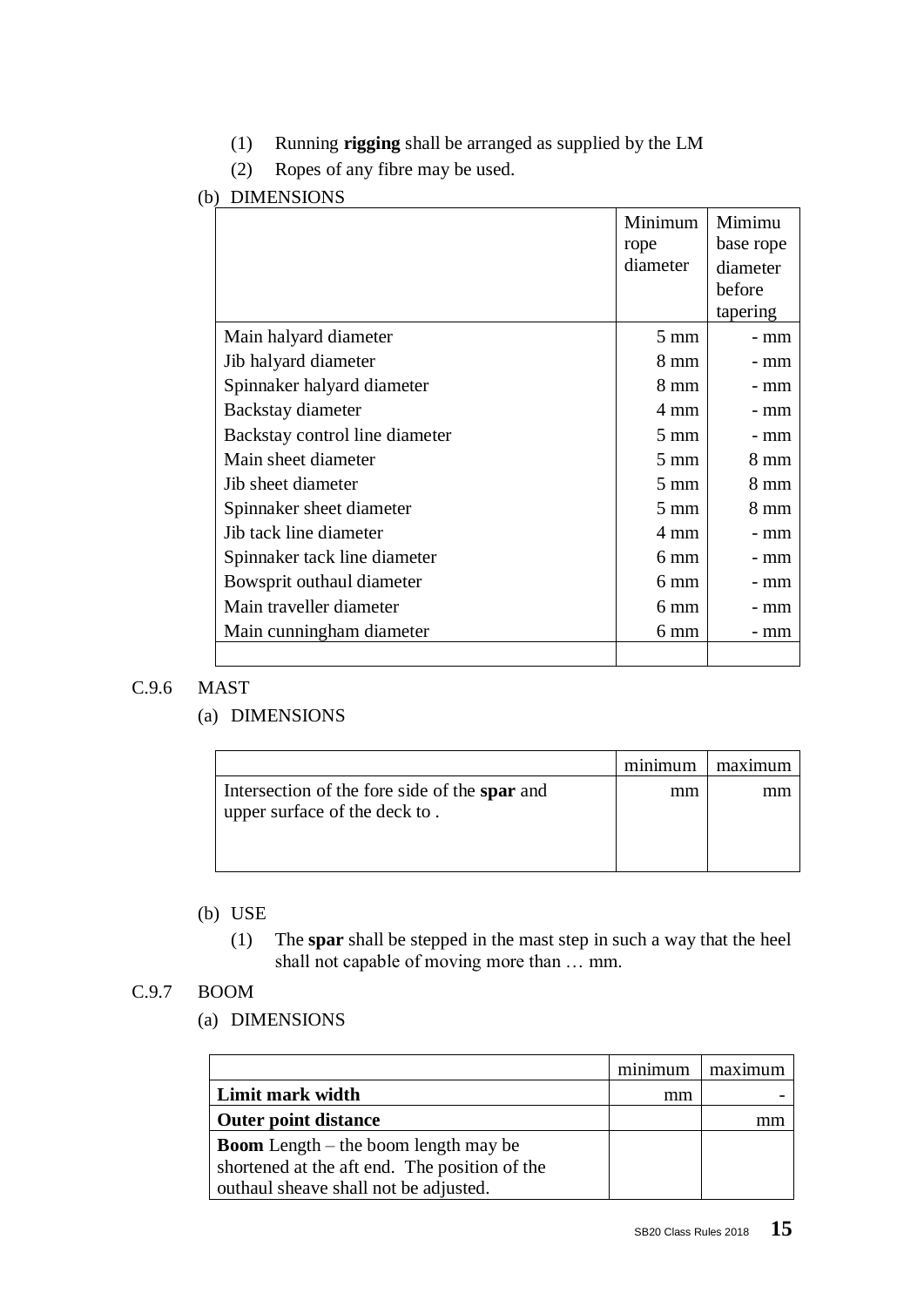- (1) Running **rigging** shall be arranged as supplied by the LM
- (2) Ropes of any fibre may be used.

### (b) DIMENSIONS

|                                | Minimum        | Mimimu         |
|--------------------------------|----------------|----------------|
|                                | rope           | base rope      |
|                                | diameter       | diameter       |
|                                |                | before         |
|                                |                | tapering       |
| Main halyard diameter          | $5 \text{ mm}$ | - mm           |
| Jib halyard diameter           | $8 \text{ mm}$ | - mm           |
| Spinnaker halyard diameter     | $8 \text{ mm}$ | - mm           |
| Backstay diameter              | 4 mm           | - mm           |
| Backstay control line diameter | $5 \text{ mm}$ | - mm           |
| Main sheet diameter            | $5 \text{ mm}$ | 8 mm           |
| Jib sheet diameter             | $5 \text{ mm}$ | 8 mm           |
| Spinnaker sheet diameter       | $5 \text{ mm}$ | $8 \text{ mm}$ |
| Jib tack line diameter         | 4 mm           | - mm           |
| Spinnaker tack line diameter   | 6 mm           | - mm           |
| Bowsprit outhaul diameter      | 6 mm           | - mm           |
| Main traveller diameter        | $6 \text{ mm}$ | - mm           |
| Main cunningham diameter       | 6 mm           | - mm           |
|                                |                |                |

#### C.9.6 MAST

#### (a) DIMENSIONS

|                                                                                | minimum | maximum |
|--------------------------------------------------------------------------------|---------|---------|
| Intersection of the fore side of the spar and<br>upper surface of the deck to. | mm      |         |

## (b) USE

(1) The **spar** shall be stepped in the mast step in such a way that the heel shall not capable of moving more than … mm.

### C.9.7 BOOM

#### (a) DIMENSIONS

|                                               | minimum | maximum |
|-----------------------------------------------|---------|---------|
| Limit mark width                              | mm      |         |
| <b>Outer point distance</b>                   |         |         |
| <b>Boom</b> Length $-$ the boom length may be |         |         |
| shortened at the aft end. The position of the |         |         |
| outhaul sheave shall not be adjusted.         |         |         |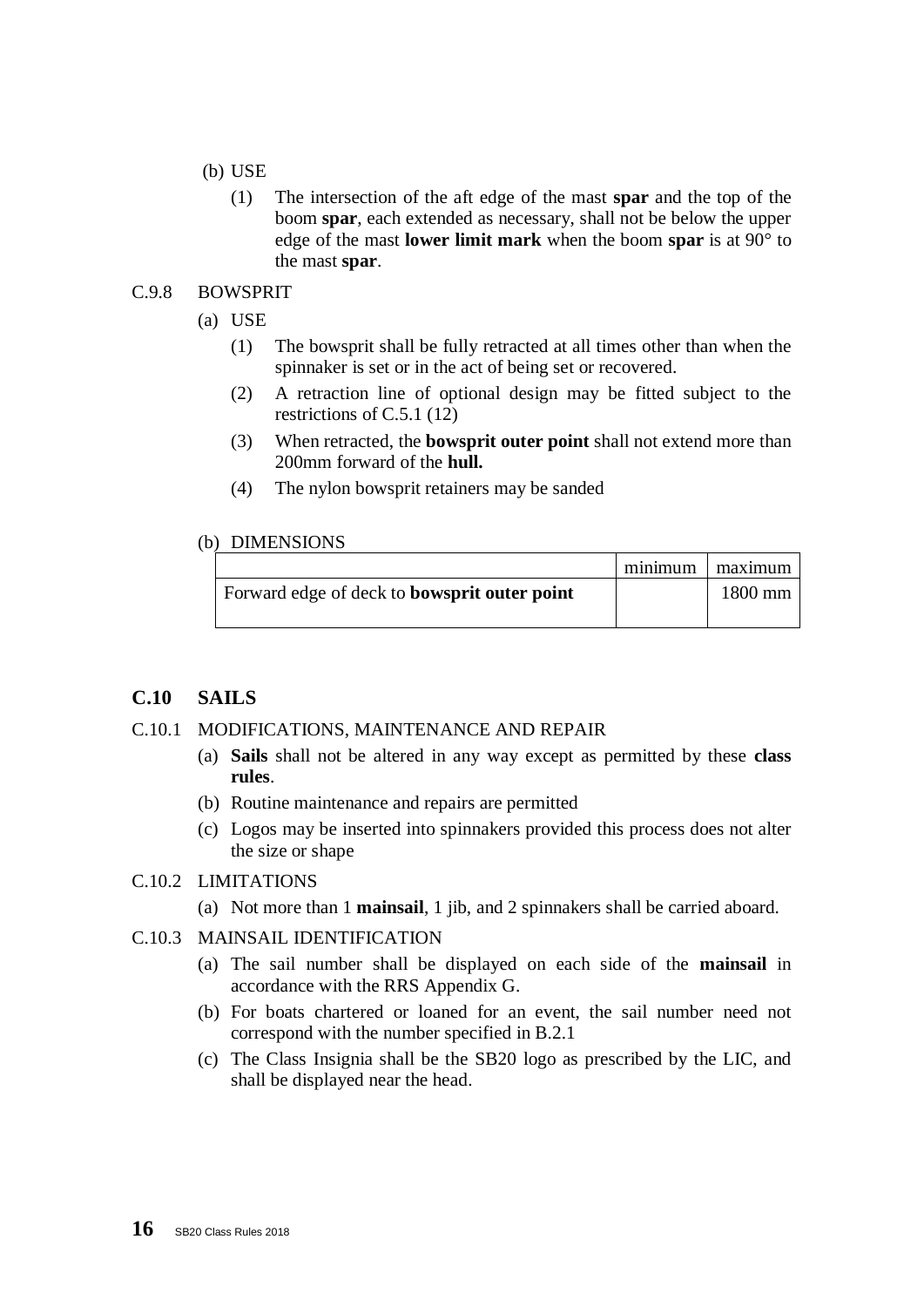- (b) USE
	- (1) The intersection of the aft edge of the mast **spar** and the top of the boom **spar**, each extended as necessary, shall not be below the upper edge of the mast **lower limit mark** when the boom **spar** is at 90° to the mast **spar**.

#### C.9.8 BOWSPRIT

- (a) USE
	- (1) The bowsprit shall be fully retracted at all times other than when the spinnaker is set or in the act of being set or recovered.
	- (2) A retraction line of optional design may be fitted subject to the restrictions of C.5.1 (12)
	- (3) When retracted, the **bowsprit outer point** shall not extend more than 200mm forward of the **hull.**
	- (4) The nylon bowsprit retainers may be sanded

#### (b) DIMENSIONS

|                                                     | minimum   maximum |
|-----------------------------------------------------|-------------------|
| Forward edge of deck to <b>bowsprit outer point</b> | $1800$ mm         |
|                                                     |                   |

## **C.10 SAILS**

#### C.10.1 MODIFICATIONS, MAINTENANCE AND REPAIR

- (a) **Sails** shall not be altered in any way except as permitted by these **class rules**.
- (b) Routine maintenance and repairs are permitted
- (c) Logos may be inserted into spinnakers provided this process does not alter the size or shape

#### C.10.2 LIMITATIONS

(a) Not more than 1 **mainsail**, 1 jib, and 2 spinnakers shall be carried aboard.

#### C.10.3 MAINSAIL IDENTIFICATION

- (a) The sail number shall be displayed on each side of the **mainsail** in accordance with the RRS Appendix G.
- (b) For boats chartered or loaned for an event, the sail number need not correspond with the number specified in B.2.1
- (c) The Class Insignia shall be the SB20 logo as prescribed by the LIC, and shall be displayed near the head.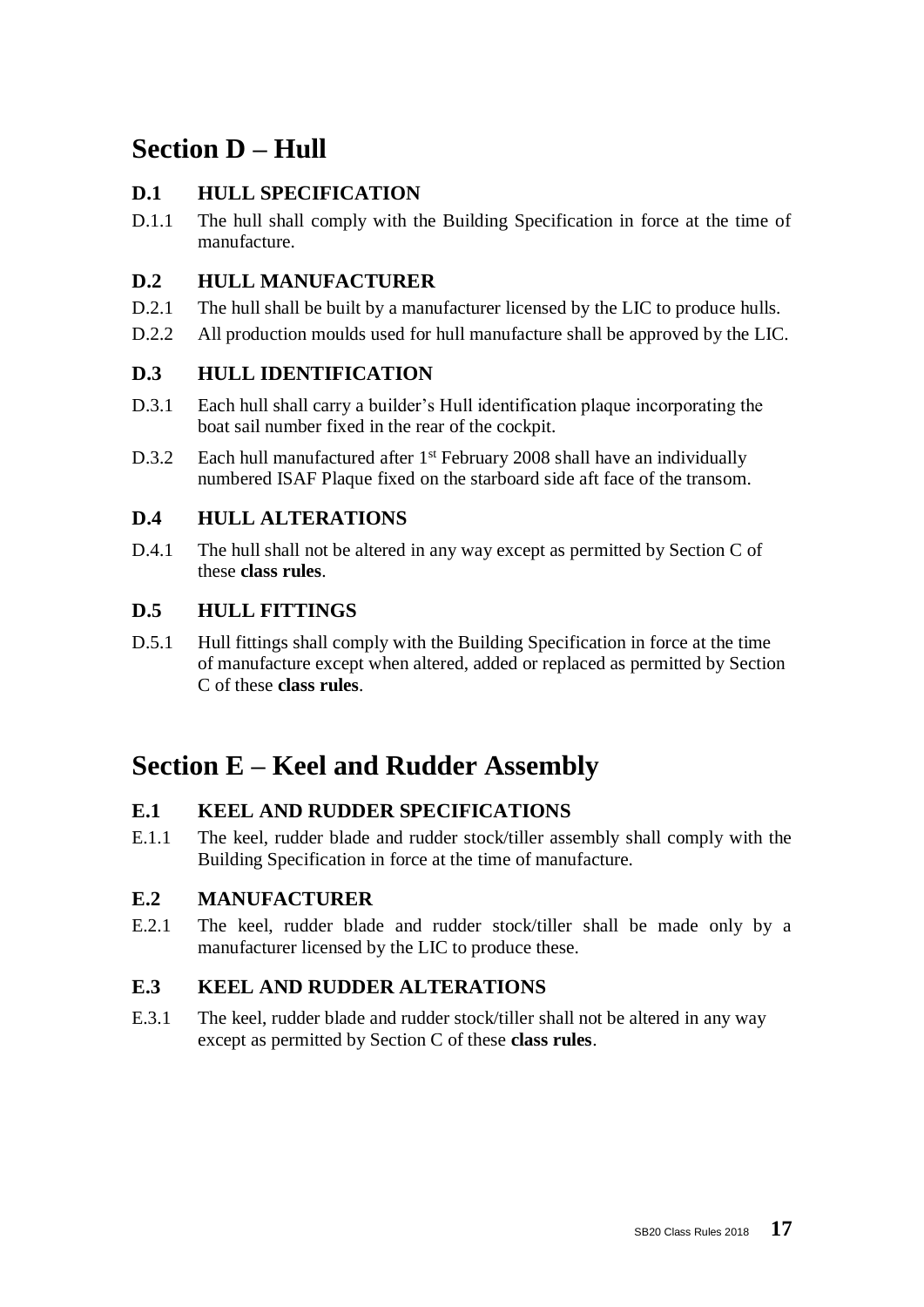## **Section D – Hull**

## **D.1 HULL SPECIFICATION**

D.1.1 The hull shall comply with the Building Specification in force at the time of manufacture.

## **D.2 HULL MANUFACTURER**

- D.2.1 The hull shall be built by a manufacturer licensed by the LIC to produce hulls.
- D.2.2 All production moulds used for hull manufacture shall be approved by the LIC.

## **D.3 HULL IDENTIFICATION**

- D.3.1 Each hull shall carry a builder's Hull identification plaque incorporating the boat sail number fixed in the rear of the cockpit.
- D.3.2 Each hull manufactured after  $1<sup>st</sup>$  February 2008 shall have an individually numbered ISAF Plaque fixed on the starboard side aft face of the transom.

## **D.4 HULL ALTERATIONS**

D.4.1 The hull shall not be altered in any way except as permitted by Section C of these **class rules**.

## **D.5 HULL FITTINGS**

D.5.1 Hull fittings shall comply with the Building Specification in force at the time of manufacture except when altered, added or replaced as permitted by Section C of these **class rules**.

## **Section E – Keel and Rudder Assembly**

## **E.1 KEEL AND RUDDER SPECIFICATIONS**

E.1.1 The keel, rudder blade and rudder stock/tiller assembly shall comply with the Building Specification in force at the time of manufacture.

## **E.2 MANUFACTURER**

E.2.1 The keel, rudder blade and rudder stock/tiller shall be made only by a manufacturer licensed by the LIC to produce these.

## **E.3 KEEL AND RUDDER ALTERATIONS**

E.3.1 The keel, rudder blade and rudder stock/tiller shall not be altered in any way except as permitted by Section C of these **class rules**.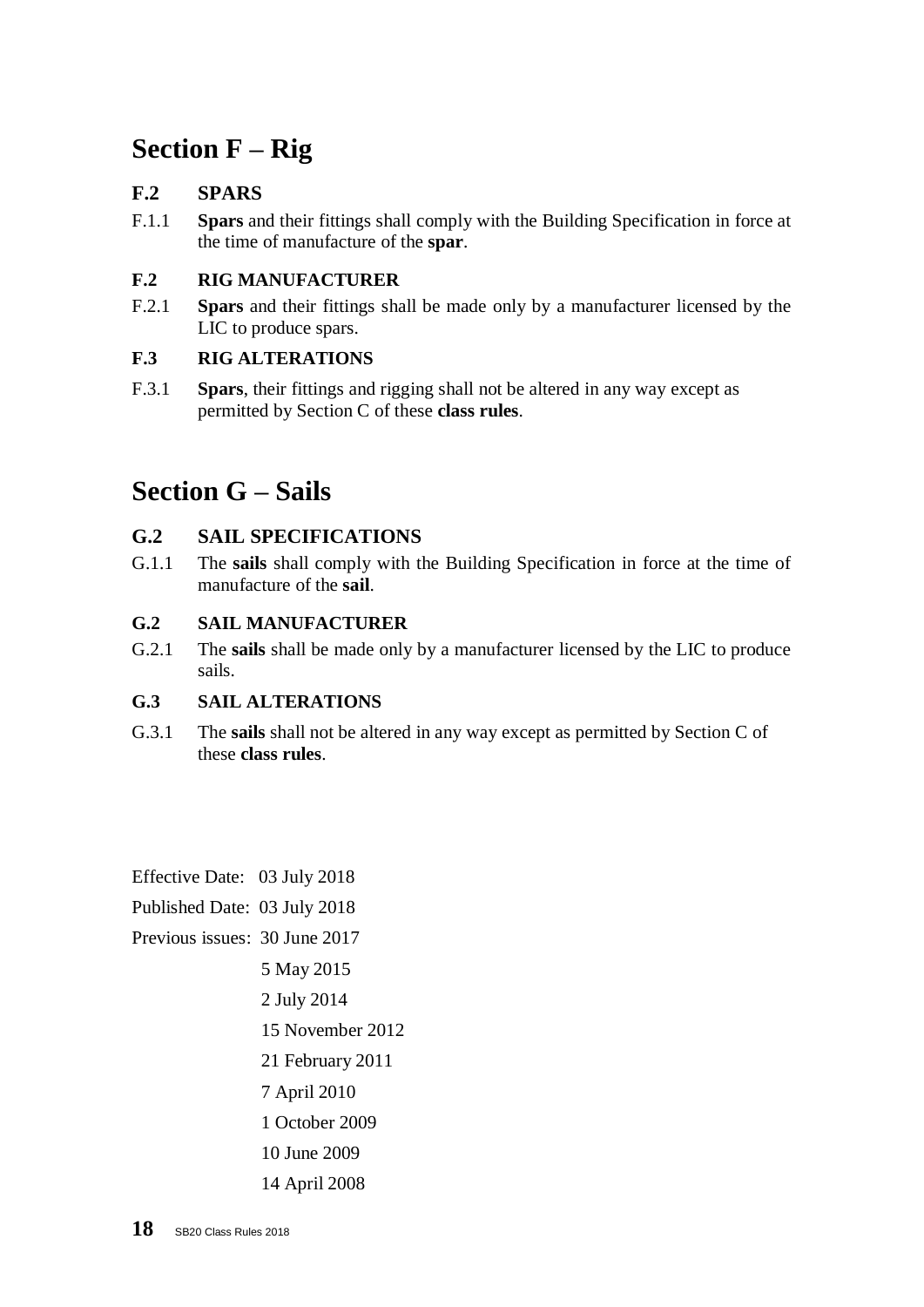# **Section F – Rig**

## **F.2 SPARS**

F.1.1 **Spars** and their fittings shall comply with the Building Specification in force at the time of manufacture of the **spar**.

## **F.2 RIG MANUFACTURER**

F.2.1 **Spars** and their fittings shall be made only by a manufacturer licensed by the LIC to produce spars.

## **F.3 RIG ALTERATIONS**

F.3.1 **Spars**, their fittings and rigging shall not be altered in any way except as permitted by Section C of these **class rules**.

## **Section G – Sails**

## **G.2 SAIL SPECIFICATIONS**

G.1.1 The **sails** shall comply with the Building Specification in force at the time of manufacture of the **sail**.

## **G.2 SAIL MANUFACTURER**

G.2.1 The **sails** shall be made only by a manufacturer licensed by the LIC to produce sails.

## **G.3 SAIL ALTERATIONS**

G.3.1 The **sails** shall not be altered in any way except as permitted by Section C of these **class rules**.

Effective Date: 03 July 2018

Published Date: 03 July 2018

Previous issues: 30 June 2017

5 May 2015

2 July 2014

15 November 2012

21 February 2011

7 April 2010

1 October 2009

- 10 June 2009
- 14 April 2008